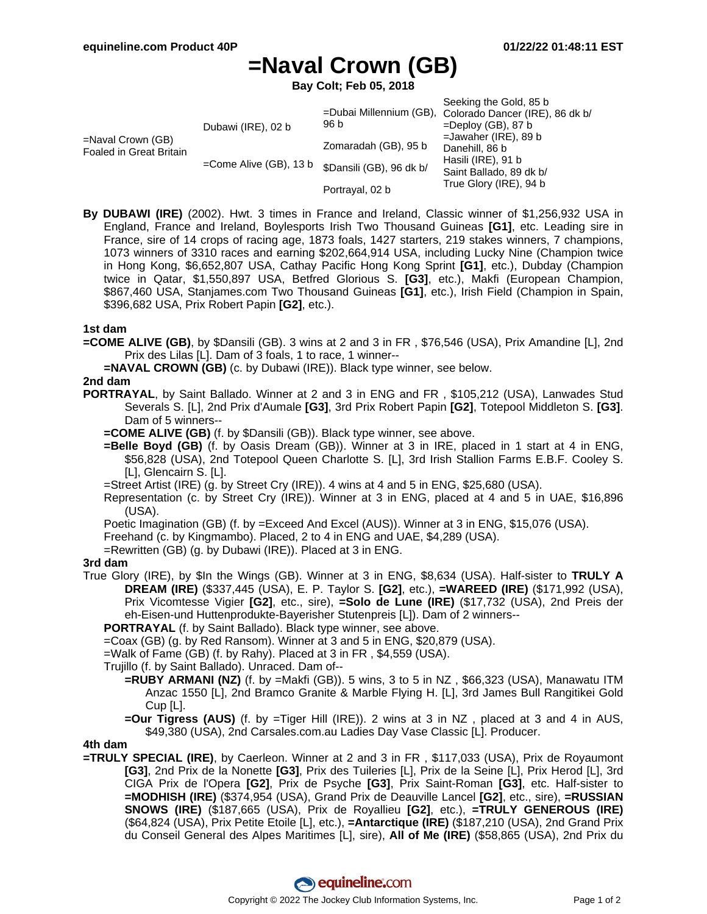# **=Naval Crown (GB)**

**Bay Colt; Feb 05, 2018**

|                                                 |                           |                          | Seeking the Gold, 85 b                                             |
|-------------------------------------------------|---------------------------|--------------------------|--------------------------------------------------------------------|
| $=$ Naval Crown (GB)<br>Foaled in Great Britain | Dubawi (IRE), 02 b        | 96 b                     | =Dubai Millennium (GB), Colorado Dancer (IRE), 86 dk b/            |
|                                                 |                           |                          | $=$ Deploy (GB), 87 b<br>$=$ Jawaher (IRE), 89 b<br>Danehill, 86 b |
|                                                 |                           | Zomaradah (GB), 95 b     |                                                                    |
|                                                 |                           |                          |                                                                    |
|                                                 | $=$ Come Alive (GB), 13 b | \$Dansili (GB), 96 dk b/ | Hasili (IRE), 91 b                                                 |
|                                                 |                           |                          | Saint Ballado, 89 dk b/                                            |
|                                                 |                           | Portrayal, 02 b          | True Glory (IRE), 94 b                                             |

**By DUBAWI (IRE)** (2002). Hwt. 3 times in France and Ireland, Classic winner of \$1,256,932 USA in England, France and Ireland, Boylesports Irish Two Thousand Guineas **[G1]**, etc. Leading sire in France, sire of 14 crops of racing age, 1873 foals, 1427 starters, 219 stakes winners, 7 champions, 1073 winners of 3310 races and earning \$202,664,914 USA, including Lucky Nine (Champion twice in Hong Kong, \$6,652,807 USA, Cathay Pacific Hong Kong Sprint **[G1]**, etc.), Dubday (Champion twice in Qatar, \$1,550,897 USA, Betfred Glorious S. **[G3]**, etc.), Makfi (European Champion, \$867,460 USA, Stanjames.com Two Thousand Guineas **[G1]**, etc.), Irish Field (Champion in Spain, \$396,682 USA, Prix Robert Papin **[G2]**, etc.).

#### **1st dam**

**=COME ALIVE (GB)**, by \$Dansili (GB). 3 wins at 2 and 3 in FR , \$76,546 (USA), Prix Amandine [L], 2nd Prix des Lilas [L]. Dam of 3 foals, 1 to race, 1 winner--

**=NAVAL CROWN (GB)** (c. by Dubawi (IRE)). Black type winner, see below.

#### **2nd dam**

- **PORTRAYAL**, by Saint Ballado. Winner at 2 and 3 in ENG and FR , \$105,212 (USA), Lanwades Stud Severals S. [L], 2nd Prix d'Aumale **[G3]**, 3rd Prix Robert Papin **[G2]**, Totepool Middleton S. **[G3]**. Dam of 5 winners--
	- **=COME ALIVE (GB)** (f. by \$Dansili (GB)). Black type winner, see above.
	- **=Belle Boyd (GB)** (f. by Oasis Dream (GB)). Winner at 3 in IRE, placed in 1 start at 4 in ENG, \$56,828 (USA), 2nd Totepool Queen Charlotte S. [L], 3rd Irish Stallion Farms E.B.F. Cooley S. [L], Glencairn S. [L].

=Street Artist (IRE) (g. by Street Cry (IRE)). 4 wins at 4 and 5 in ENG, \$25,680 (USA).

Representation (c. by Street Cry (IRE)). Winner at 3 in ENG, placed at 4 and 5 in UAE, \$16,896 (USA).

Poetic Imagination (GB) (f. by =Exceed And Excel (AUS)). Winner at 3 in ENG, \$15,076 (USA).

Freehand (c. by Kingmambo). Placed, 2 to 4 in ENG and UAE, \$4,289 (USA).

=Rewritten (GB) (g. by Dubawi (IRE)). Placed at 3 in ENG.

#### **3rd dam**

True Glory (IRE), by \$In the Wings (GB). Winner at 3 in ENG, \$8,634 (USA). Half-sister to **TRULY A DREAM (IRE)** (\$337,445 (USA), E. P. Taylor S. **[G2]**, etc.), **=WAREED (IRE)** (\$171,992 (USA), Prix Vicomtesse Vigier **[G2]**, etc., sire), **=Solo de Lune (IRE)** (\$17,732 (USA), 2nd Preis der eh-Eisen-und Huttenprodukte-Bayerisher Stutenpreis [L]). Dam of 2 winners--

**PORTRAYAL** (f. by Saint Ballado). Black type winner, see above.

=Coax (GB) (g. by Red Ransom). Winner at 3 and 5 in ENG, \$20,879 (USA).

=Walk of Fame (GB) (f. by Rahy). Placed at 3 in FR , \$4,559 (USA).

Trujillo (f. by Saint Ballado). Unraced. Dam of--

**=RUBY ARMANI (NZ)** (f. by =Makfi (GB)). 5 wins, 3 to 5 in NZ , \$66,323 (USA), Manawatu ITM Anzac 1550 [L], 2nd Bramco Granite & Marble Flying H. [L], 3rd James Bull Rangitikei Gold Cup [L].

**=Our Tigress (AUS)** (f. by =Tiger Hill (IRE)). 2 wins at 3 in NZ , placed at 3 and 4 in AUS, \$49,380 (USA), 2nd Carsales.com.au Ladies Day Vase Classic [L]. Producer.

### **4th dam**

**=TRULY SPECIAL (IRE)**, by Caerleon. Winner at 2 and 3 in FR , \$117,033 (USA), Prix de Royaumont **[G3]**, 2nd Prix de la Nonette **[G3]**, Prix des Tuileries [L], Prix de la Seine [L], Prix Herod [L], 3rd CIGA Prix de l'Opera **[G2]**, Prix de Psyche **[G3]**, Prix Saint-Roman **[G3]**, etc. Half-sister to **=MODHISH (IRE)** (\$374,954 (USA), Grand Prix de Deauville Lancel **[G2]**, etc., sire), **=RUSSIAN SNOWS (IRE)** (\$187,665 (USA), Prix de Royallieu **[G2]**, etc.), **=TRULY GENEROUS (IRE)** (\$64,824 (USA), Prix Petite Etoile [L], etc.), **=Antarctique (IRE)** (\$187,210 (USA), 2nd Grand Prix du Conseil General des Alpes Maritimes [L], sire), **All of Me (IRE)** (\$58,865 (USA), 2nd Prix du